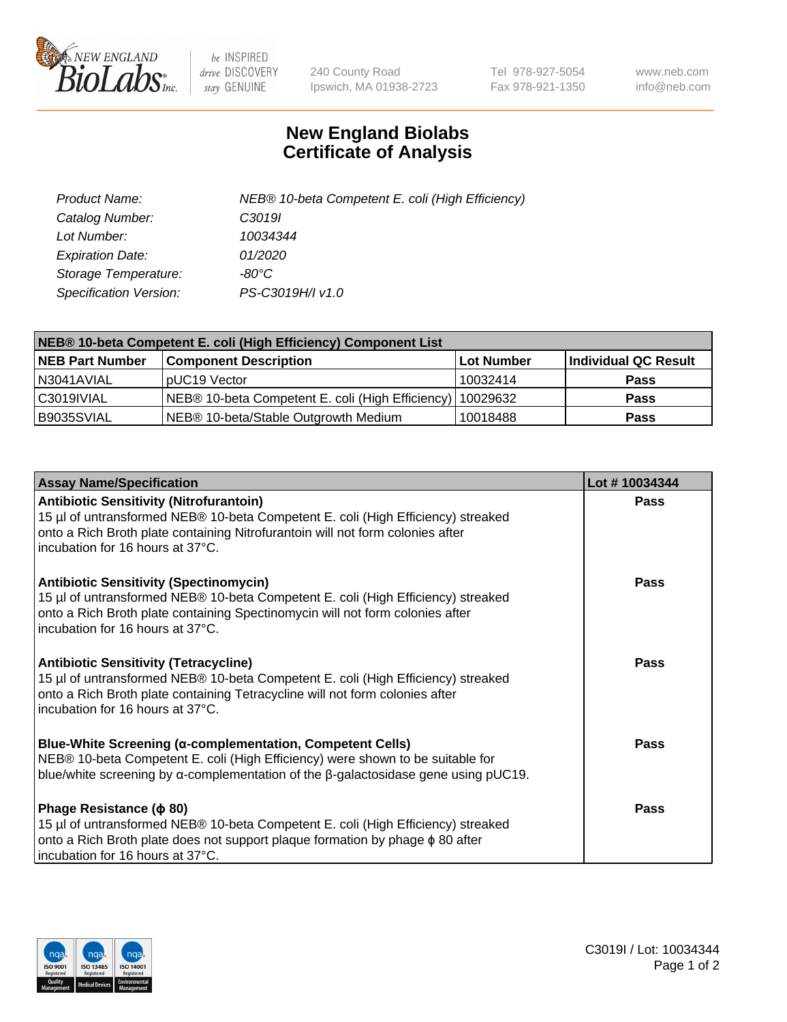

 $be$  INSPIRED drive DISCOVERY stay GENUINE

240 County Road Ipswich, MA 01938-2723 Tel 978-927-5054 Fax 978-921-1350 www.neb.com info@neb.com

## **New England Biolabs Certificate of Analysis**

| Product Name:           | NEB® 10-beta Competent E. coli (High Efficiency) |
|-------------------------|--------------------------------------------------|
| Catalog Number:         | C <sub>3019</sub>                                |
| Lot Number:             | 10034344                                         |
| <b>Expiration Date:</b> | 01/2020                                          |
| Storage Temperature:    | -80°C                                            |
| Specification Version:  | PS-C3019H/I v1.0                                 |

| NEB® 10-beta Competent E. coli (High Efficiency) Component List |                                                             |            |                      |  |
|-----------------------------------------------------------------|-------------------------------------------------------------|------------|----------------------|--|
| <b>NEB Part Number</b>                                          | <b>Component Description</b>                                | Lot Number | Individual QC Result |  |
| N3041AVIAL                                                      | pUC19 Vector                                                | 10032414   | Pass                 |  |
| C3019IVIAL                                                      | NEB® 10-beta Competent E. coli (High Efficiency)   10029632 |            | <b>Pass</b>          |  |
| B9035SVIAL                                                      | NEB® 10-beta/Stable Outgrowth Medium                        | 10018488   | <b>Pass</b>          |  |

| <b>Assay Name/Specification</b>                                                                                                                                                                                                                          | Lot #10034344 |
|----------------------------------------------------------------------------------------------------------------------------------------------------------------------------------------------------------------------------------------------------------|---------------|
| <b>Antibiotic Sensitivity (Nitrofurantoin)</b><br>15 µl of untransformed NEB® 10-beta Competent E. coli (High Efficiency) streaked<br>onto a Rich Broth plate containing Nitrofurantoin will not form colonies after<br>incubation for 16 hours at 37°C. | Pass          |
| <b>Antibiotic Sensitivity (Spectinomycin)</b><br>15 µl of untransformed NEB® 10-beta Competent E. coli (High Efficiency) streaked<br>onto a Rich Broth plate containing Spectinomycin will not form colonies after<br>incubation for 16 hours at 37°C.   | Pass          |
| Antibiotic Sensitivity (Tetracycline)<br>15 µl of untransformed NEB® 10-beta Competent E. coli (High Efficiency) streaked<br>onto a Rich Broth plate containing Tetracycline will not form colonies after<br>incubation for 16 hours at 37°C.            | Pass          |
| Blue-White Screening (α-complementation, Competent Cells)<br>NEB® 10-beta Competent E. coli (High Efficiency) were shown to be suitable for<br>blue/white screening by $\alpha$ -complementation of the $\beta$ -galactosidase gene using pUC19.         | Pass          |
| Phage Resistance ( $\phi$ 80)<br>15 µl of untransformed NEB® 10-beta Competent E. coli (High Efficiency) streaked<br>onto a Rich Broth plate does not support plaque formation by phage $\phi$ 80 after<br>incubation for 16 hours at 37°C.              | Pass          |